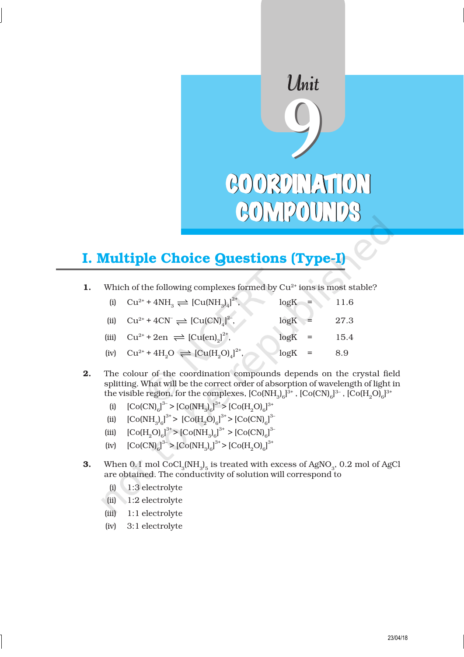# Unit<br>9 COORDINATION COMPOUNDS COMPOUNDS

# I. Multiple Choice Questions (Type-I)

1. Which of the following complexes formed by  $Cu^{2+}$  ions is most stable?

| (i) $Cu^{2+} + 4NH_3 \rightleftharpoons [Cu(NH_3)_4]^{2+}$ , | $logK =$  | 11.6 |
|--------------------------------------------------------------|-----------|------|
| (ii) $Cu^{2+} + 4CN \rightleftharpoons [Cu(CN)]^{2}$ ,       | $log K =$ | 27.3 |
| (iii) $Cu^{2+} + 2en \rightleftharpoons [Cu(en)]^{2^*}$ ,    | $log K =$ | 15.4 |
| (iv) $Cu^{2+} + 4H_2O \rightleftharpoons [Cu(H_2O)]^{2^*}$ , | $log K =$ | 8.9  |

- 2. The colour of the coordination compounds depends on the crystal field splitting. What will be the correct order of absorption of wavelength of light in the visible region, for the complexes,  $[\mathrm{Co(NH}_3)_{6}]^{3+}$  ,  $[\mathrm{Co(CN)}_{6}]^{3-}$  ,  $[\mathrm{Co(H_2O)}_{6}]^{3+}$ 
	- (i)  $[CO(CN)_{6}]^{3} > [CO(NH_{3})_{6}]^{3} > [CO(H_{2}O)_{6}]^{3}$
	- (ii)  $[Co(NH_3)_{6}]^{3+} > [Co(H_2O)_{6}]^{3+} > [Co(CN)_{6}]^{3}$
	- (iii)  $[Co(H<sub>2</sub>O)<sub>6</sub>]<sup>3+</sup> > [Co(NH<sub>3</sub>)<sub>6</sub>]<sup>3+</sup> > [Co(CN)<sub>6</sub>]<sup>3-</sup>$
	- (iv)  $[CO(CN)_{6}]^{3} > [CO(NH_{3})_{6}]^{3} > [CO(H_{2}O)_{6}]^{3}$
- **3.** When 0.1 mol CoCl<sub>3</sub>(NH<sub>3</sub>)<sub>5</sub> is treated with excess of AgNO<sub>3</sub>, 0.2 mol of AgCl are obtained. The conductivity of solution will correspond to
	- (i) 1:3 electrolyte
	- (ii) 1:2 electrolyte
	- (iii) 1:1 electrolyte
	- (iv) 3:1 electrolyte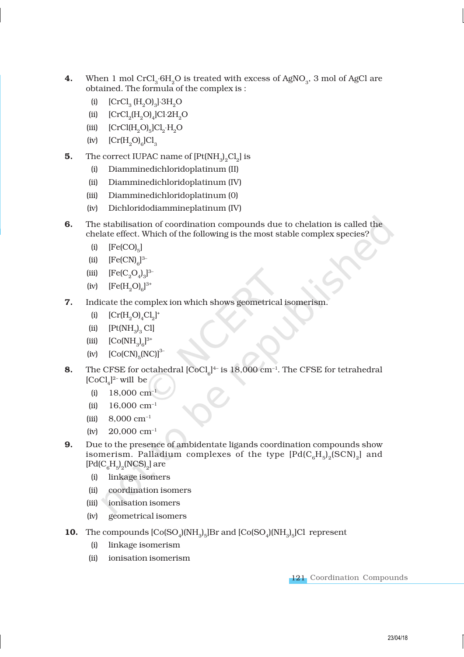- **4.** When 1 mol CrCl<sub>3</sub>  $6H_2O$  is treated with excess of AgNO<sub>3</sub>, 3 mol of AgCl are obtained. The formula of the complex is :
	- (i)  $[CrCl_{3} (H_{2}O)_{3}] \cdot 3H_{2}O$
	- (ii)  $[CrCl<sub>2</sub>(H<sub>2</sub>O)<sub>4</sub>]Cl·2H<sub>2</sub>O$
	- (iii)  $[CrCl(H_2O)_5]Cl_2 \cdot H_2O$
	- (iv)  $\left[\text{Cr}(H_2O)_6\right]Cl_3$
- **5.** The correct IUPAC name of  $[Pt(NH_3)_2Cl_2]$  is
	- (i) Diamminedichloridoplatinum (II)
	- (ii) Diamminedichloridoplatinum (IV)
	- (iii) Diamminedichloridoplatinum (0)
	- (iv) Dichloridodiammineplatinum (IV)
- 6. The stabilisation of coordination compounds due to chelation is called the chelate effect. Which of the following is the most stable complex species?
	- (i)  $[Fe(CO)<sub>5</sub>]$
	- (ii)  $[Fe(CN)<sub>6</sub>]^{3-}$
	- (iii)  $[Fe(C_2O_4)_3]^{3-}$
	- (iv)  $[Fe(H<sub>2</sub>O)<sub>6</sub>]^{3+}$
- 7. Indicate the complex ion which shows geometrical isomerism.
	- (i)  $[Cr(H_2O)_4Cl_2]^+$
	- (ii)  $[Pt(NH_3)_3\text{Cl}]$
	- (iii)  $[Co(NH_3)_6]^{3+}$
	- (iv)  $[Co(CN)_{5} (NC)]^{3-}$
- **8.** The CFSE for octahedral  $\text{[CoCl}_{6}\text{]}^{4-}$  is  $18,000 \text{ cm}^{-1}$ . The CFSE for tetrahedral  $[CoCl<sub>4</sub>]^{2-}$  will be
	- $(i)$  18,000 cm<sup>-1</sup>
	- (ii)  $16,000 \text{ cm}^{-1}$
	- (iii)  $8,000 \text{ cm}^{-1}$
	- (iv)  $20,000 \text{ cm}^{-1}$
- 9. Due to the presence of ambidentate ligands coordination compounds show isomerism. Palladium complexes of the type  $[\mathrm{Pd(C_6H_5)_2(SCN)_2}]$  and  $[\text{Pd(C}_6H_5)_2(\text{NCS})_2]$  are
	- (i) linkage isomers
	- (ii) coordination isomers
	- (iii) ionisation isomers
	- (iv) geometrical isomers
- **10.** The compounds  $[Co(SO_4)(NH_3)_5]Br$  and  $[Co(SO_4)(NH_3)_5]Cl$  represent
	- (i) linkage isomerism
	- (ii) ionisation isomerism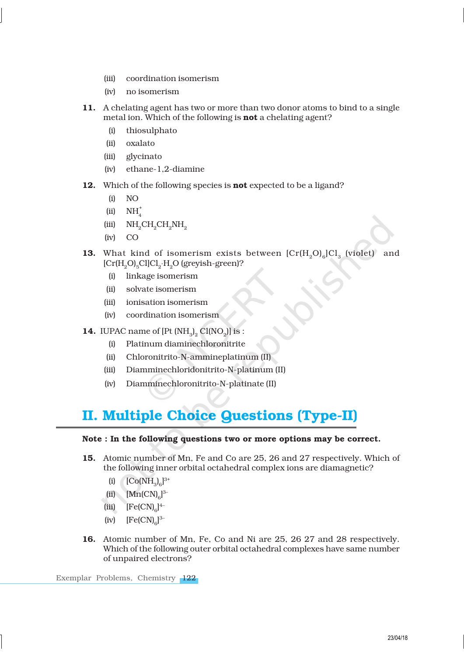- (iii) coordination isomerism
- (iv) no isomerism
- 11. A chelating agent has two or more than two donor atoms to bind to a single metal ion. Which of the following is **not** a chelating agent?
	- (i) thiosulphato
	- (ii) oxalato
	- (iii) glycinato
	- (iv) ethane-1,2-diamine
- 12. Which of the following species is **not** expected to be a ligand?
	- (i) NO
	- (ii)  $NH_4^+$
	- $(iii)$  NH<sub>2</sub>CH<sub>2</sub>CH<sub>2</sub>NH<sub>2</sub>
	- (iv) CO
- **13.** What kind of isomerism exists between  $\text{[Cr(H<sub>2</sub>O)<sub>6</sub>]}Cl<sub>3</sub>$  (violet) and  $\rm [Cr(H_2O)_5Cl]Cl_2·H_2O$  (greyish-green)?
	- (i) linkage isomerism
	- (ii) solvate isomerism
	- (iii) ionisation isomerism
	- (iv) coordination isomerism
- **14.** IUPAC name of  $[Pt(NH_3)_2 Cl(NO_2)]$  is :
	- (i) Platinum diaminechloronitrite
	- (ii) Chloronitrito-N-ammineplatinum (II)
	- (iii) Diamminechloridonitrito-N-platinum (II)
	- (iv) Diamminechloronitrito-N-platinate (II)

# II. Multiple Choice Questions (Type-II)

#### Note : In the following questions two or more options may be correct.

- 15. Atomic number of Mn, Fe and Co are 25, 26 and 27 respectively. Which of the following inner orbital octahedral complex ions are diamagnetic?
	- (i)  $[Co(NH_3)_6]^{3+}$
	- (ii)  $[Mn(CN)<sub>6</sub>]^{3-}$
	- (iii)  $[Fe(CN)<sub>6</sub>]<sup>4</sup>$
	- (iv)  $[Fe(CN)<sub>6</sub>]^{3-}$
- 16. Atomic number of Mn, Fe, Co and Ni are 25, 26 27 and 28 respectively. Which of the following outer orbital octahedral complexes have same number of unpaired electrons?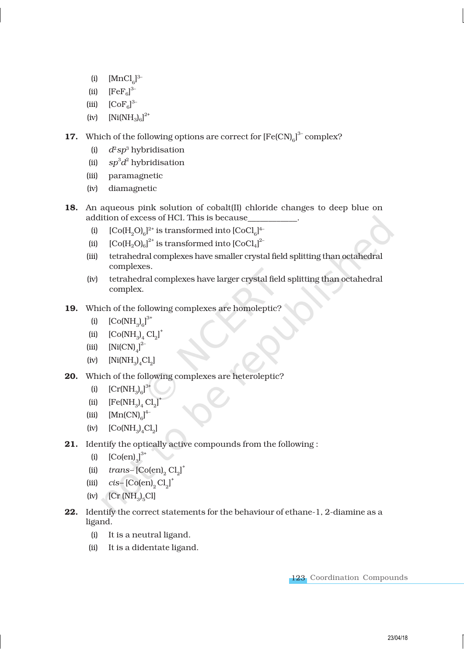- (i)  $[MnCl_6]^{3-}$
- (ii)  $[FeF_6]$ <sup>3-</sup>
- (iii)  $[CoF_6]^{3-}$
- (iv)  $[Ni(NH_3)_6]^{2+}$
- **17.** Which of the following options are correct for  $[Fe(CN)_{6}]^{3-}$  complex?
	- (i) *d*2*sp*<sup>3</sup> hybridisation
	- (ii) *sp*<sup>3</sup>*d* 2 hybridisation
	- (iii) paramagnetic
	- (iv) diamagnetic
- 18. An aqueous pink solution of cobalt(II) chloride changes to deep blue on addition of excess of HCl. This is because\_\_\_\_\_\_\_\_\_\_\_\_.
	- (i)  $[Co(H<sub>2</sub>O)<sub>6</sub>]^{2+}$  is transformed into  $[CoCl<sub>6</sub>]^{4-}$
	- (ii)  $\left[\text{Co}(H_2O)_6\right]^{2+}$  is transformed into  $\left[\text{CoCl}_4\right]^{2-}$
	- (iii) tetrahedral complexes have smaller crystal field splitting than octahedral complexes.
	- (iv) tetrahedral complexes have larger crystal field splitting than octahedral complex.
- 19. Which of the following complexes are homoleptic?
	- (i)  $[Co(NH_3)_{6}]^{3+}$
	- (ii)  $[Co(NH_3)_{4} Cl_2]^{+}$
	- (iii)  $[Ni(CN)<sub>4</sub>]<sup>2</sup>$
	- (iv)  $[Ni(NH_3)_4Cl_2]$
- 20. Which of the following complexes are heteroleptic?
	- (i)  $[Cr(NH_3)_{6}]^{3+}$
	- (ii)  $[Fe(NH_3)_{4} Cl_2]^{+}$
	- (iii)  $[Mn(CN)<sub>6</sub>$ <sup>4–</sup>
	- (iv)  $[Co(NH_3)_4Cl_2]$
- 21. Identify the optically active compounds from the following :
	- (i)  $[Co(en)]_3^{3+}$
	- (ii)  $trans-[Co(en)]_2Cl_2$ <sup>+</sup>
	- (iii)  $cis [Co(en)]_2 Cl_2$ <sup>+</sup>
	- (iv)  $[\text{Cr (NH}_3)_5\text{Cl}]$
- 22. Identify the correct statements for the behaviour of ethane-1, 2-diamine as a ligand.
	- (i) It is a neutral ligand.
	- (ii) It is a didentate ligand.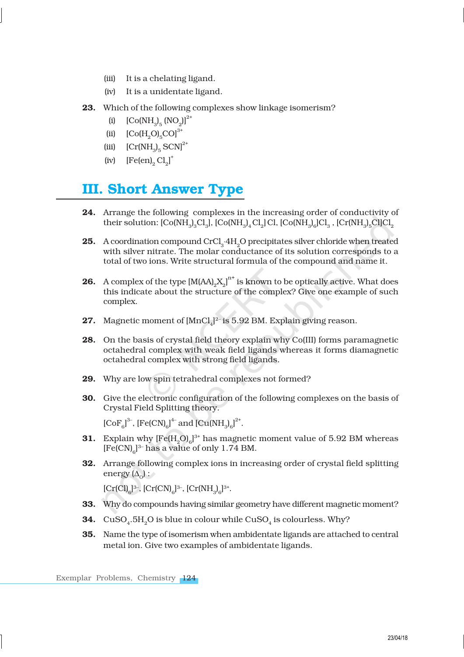- (iii) It is a chelating ligand.
- (iv) It is a unidentate ligand.
- 23. Which of the following complexes show linkage isomerism?
	- (i)  $[Co(NH_3)_{5} (NO_2)]^{2+}$
	- (ii)  $[Co(H, O), CO]^{3+}$
	- (iii)  $\left[\text{Cr(NH}_3\right]_5 \text{SCN}\right]^{2+}$
	- (iv)  $[Fe(en)_2 Cl_2]^+$

# III. Short Answer Type

- 24. Arrange the following complexes in the increasing order of conductivity of their solution: [Co(NH<sub>3</sub>)<sub>3</sub>Cl<sub>3</sub>], [Co(NH<sub>3</sub>)<sub>4</sub>Cl<sub>2</sub>]Cl, [Co(NH<sub>3</sub>)<sub>6</sub>]Cl<sub>3</sub> , [Cr(NH<sub>3</sub>)<sub>5</sub>Cl]Cl<sub>2</sub>
- **25.** A coordination compound  $CrCl<sub>3</sub>·4H<sub>2</sub>O$  precipitates silver chloride when treated with silver nitrate. The molar conductance of its solution corresponds to a total of two ions. Write structural formula of the compound and name it.
- **26.** A complex of the type  $\text{[M(AA)}_2 \text{X}_2 \text{]}^{\text{n+}}$  is known to be optically active. What does this indicate about the structure of the complex? Give one example of such complex.
- **27.** Magnetic moment of  $[MnCl<sub>4</sub>]<sup>2-</sup>$  is 5.92 BM. Explain giving reason.
- 28. On the basis of crystal field theory explain why Co(III) forms paramagnetic octahedral complex with weak field ligands whereas it forms diamagnetic octahedral complex with strong field ligands.
- 29. Why are low spin tetrahedral complexes not formed?
- 30. Give the electronic configuration of the following complexes on the basis of Crystal Field Splitting theory.

 $[CoF_{6}]^{3-}$ ,  $[Fe(CN)_{6}]^{4-}$  and  $[Cu(NH_{3})_{6}]^{2+}$ .

- **31.** Explain why  $[Fe(H_2O)_6]^{3+}$  has magnetic moment value of 5.92 BM whereas  $[Fe(CN)<sub>6</sub>]$ <sup>3-</sup> has a value of only 1.74 BM.
- 32. Arrange following complex ions in increasing order of crystal field splitting energy  $(\Delta_{\mathcal{O}})$  :

 $[Cr(Cl)]^{3-}$ ,  $[Cr(CN)]_6^{3-}$ ,  $[Cr(NH_3)]_6^{3+}$ .

- 33. Why do compounds having similar geometry have different magnetic moment?
- **34.**  $\rm CuSO_{4}.5H_{2}O$  is blue in colour while  $\rm CuSO_{4}$  is colourless. Why?
- 35. Name the type of isomerism when ambidentate ligands are attached to central metal ion. Give two examples of ambidentate ligands.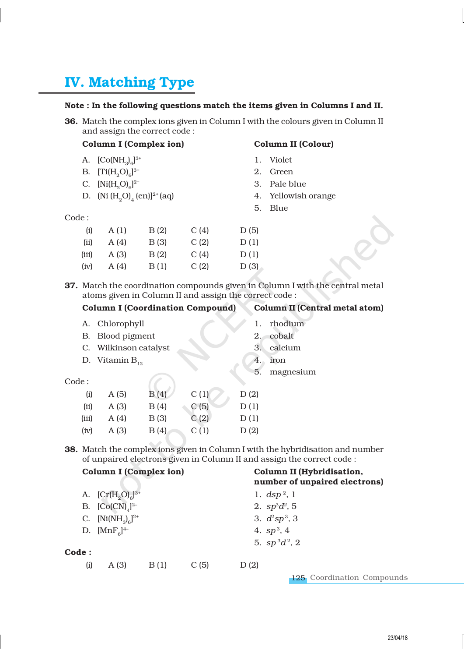# IV. Matching Type

#### Note : In the following questions match the items given in Columns I and II.

36. Match the complex ions given in Column I with the colours given in Column II and assign the correct code :

#### Column I (Complex ion) Column II (Colour)

## A.  $[Co(NH_3)_6]$

- B.  $[Ti(H_2O)_6]$
- C.  $[Ni(H<sub>2</sub>O)<sub>6</sub>]$
- D. (Ni  $(H_2O)_4$  (en)]<sup>2+</sup> (aq)

- 1. Violet
- 2. Green
- 3. Pale blue
- 4. Yellowish orange
- 5. Blue

Code :

| (i)   | A(1)  | B(2)  | C(4) | D(5) |
|-------|-------|-------|------|------|
| (ii)  | A (4) | B (3) | C(2) | D(1) |
| (iii) | A (3) | B(2)  | C(4) | D(1) |
| (iv)  | A(4)  | B(1)  | C(2) | D(3) |

(iv)  $A(3)$   $B(4)$   $C(1)$   $D(2)$ 

37. Match the coordination compounds given in Column I with the central metal atoms given in Column II and assign the correct code :

|       |                       | <b>Column I (Coordination Compound)</b> |      | <b>Column II (Central metal atom)</b> |           |
|-------|-----------------------|-----------------------------------------|------|---------------------------------------|-----------|
| А.    | Chlorophyll           |                                         |      |                                       | rhodium   |
| В.    | Blood pigment         |                                         |      | 2.                                    | cobalt    |
|       | C. Wilkinson catalyst |                                         |      | 3.                                    | calcium   |
|       | D. Vitamin $B_{12}$   |                                         |      | 4.                                    | iron      |
| Code: |                       |                                         |      | 5.                                    | magnesium |
| (i)   | A(5)                  | B(4)                                    | C(1) | D(2)                                  |           |
| (ii)  | A(3)                  | B(4)                                    | C(5) | D(1)                                  |           |
| (iii) | A(4)                  | B(3)                                    | C(2) | D(1)                                  |           |

38. Match the complex ions given in Column I with the hybridisation and number of unpaired electrons given in Column II and assign the correct code :

|       | <b>Column I (Complex ion)</b> |      |      | Column II (Hybridisation,<br>number of unpaired electrons) |  |
|-------|-------------------------------|------|------|------------------------------------------------------------|--|
|       | A. $[Cr(H, O)6]^{3+}$         |      |      | 1. $\frac{dsp^2}{1}$                                       |  |
|       | B. $[Co(CN)]^{2-}$            |      |      | 2. $sp^3d^2$ , 5                                           |  |
|       | C. $[Ni(NH_3)_6]^{2+}$        |      |      | 3. $d^2sp^3$ , 3                                           |  |
|       | D. $[MnF_{c}]^{4-}$           |      |      | 4. $sp^3$ , 4                                              |  |
|       |                               |      |      | 5. $sp^3d^2$ , 2                                           |  |
| Code: |                               |      |      |                                                            |  |
| (i)   | A(3)                          | B(1) | C(5) | D(2)                                                       |  |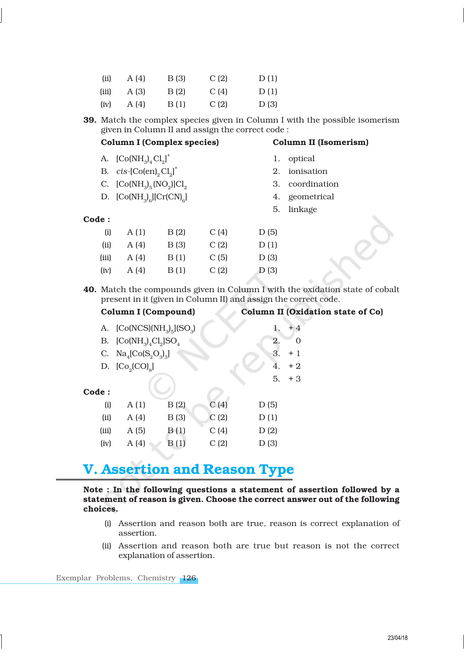| (ii)  | A (4) | B (3) | C(2) | D(1) |
|-------|-------|-------|------|------|
| (iii) | A (3) | B(2)  | C(4) | D(1) |
| (iv)  | A (4) | B(1)  | C(2) | D(3) |

39. Match the complex species given in Column I with the possible isomerism given in Column II and assign the correct code :

### Column I (Complex species) Column II (Isomerism)

1. optical

2. ionisation

3. coordination

4. geometrical 5. linkage

- A.  $[Co(NH_3)<sub>4</sub>Cl<sub>2</sub>]$ <sup>+</sup>
- B.  $cis$  -[Co(en)<sub>2</sub> $Cl_2$ ]<sup>+</sup>
- C.  $[Co(NH_3)_5 (NO_2)]Cl_2$
- D.  $[Co(NH_3)_6][Cr(CN)_6]$
- Code :

| (i)   | A(1)  | B(2) | C(4) | D(5) |
|-------|-------|------|------|------|
| (ii)  | A (4) | B(3) | C(2) | D(1) |
| (iii) | A (4) | B(1) | C(5) | D(3) |
| (iv)  | A (4) | B(1) | C(2) | D(3) |

40. Match the compounds given in Column I with the oxidation state of cobalt present in it (given in Column II) and assign the correct code.

#### Column I (Compound) Column II (Oxidation state of Co)

|       | A. $[Co(NCS)(NH3)5](SO3)$             | 1.   | + 4  |      |          |
|-------|---------------------------------------|------|------|------|----------|
|       | B. $[Co(NH_3)_4Cl_2]SO_4$             |      |      | 2.   | $\Omega$ |
|       | C. $\text{Na}_4[\text{Co}(S_2O_3)_3]$ |      |      | 3.   | $+1$     |
|       | D. $[Co2(CO)8]$                       |      |      | 4.   | $+2$     |
|       |                                       |      |      | 5.   | $+3$     |
| Code: |                                       |      |      |      |          |
| (i)   | A(1)                                  | B(2) | C(4) | D(5) |          |
| (ii)  | A(4)                                  | B(3) | C(2) | D(1) |          |
| (iii) | A(5)                                  | B(1) | C(4) | D(2) |          |
| (iv)  | A(4)                                  | B(1) | C(2) | D(3) |          |

# V. Assertion and Reason Type

#### Note : In the following questions a statement of assertion followed by a statement of reason is given. Choose the correct answer out of the following choices.

- (i) Assertion and reason both are true, reason is correct explanation of assertion.
- (ii) Assertion and reason both are true but reason is not the correct explanation of assertion.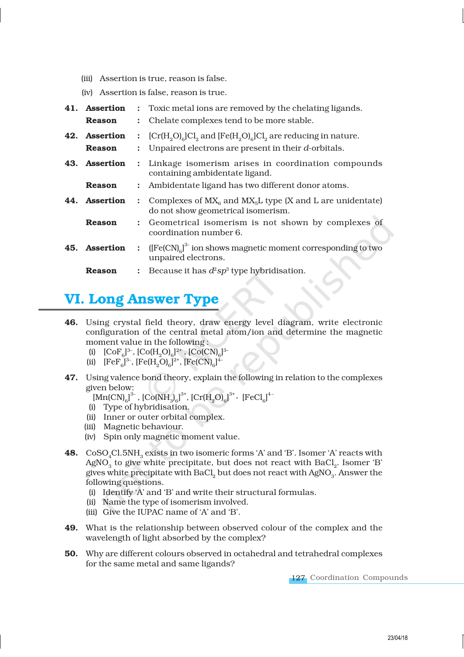- (iii) Assertion is true, reason is false.
- (iv) Assertion is false, reason is true.

| 41. Assertion |                      | : Toxic metal ions are removed by the chelating ligands.                                            |
|---------------|----------------------|-----------------------------------------------------------------------------------------------------|
| <b>Reason</b> |                      | : Chelate complexes tend to be more stable.                                                         |
| 42. Assertion |                      | : $[Cr(H, O)]_e[C]_2$ and $[Fe(H, O)]_e[C]_2$ are reducing in nature.                               |
| <b>Reason</b> |                      | Unpaired electrons are present in their <i>d</i> -orbitals.                                         |
| 43. Assertion |                      | : Linkage isomerism arises in coordination compounds<br>containing ambidentate ligand.              |
| Reason        |                      | : Ambidentate ligand has two different donor atoms.                                                 |
| 44. Assertion | $\mathcal{L}$        | Complexes of $MX_6$ and $MX_5L$ type (X and L are unidentate)<br>do not show geometrical isomerism. |
| Reason        |                      | : Geometrical isomerism is not shown by complexes of<br>coordination number 6.                      |
| 45. Assertion | $\ddot{\phantom{a}}$ | $[{\rm [Fe(CN)]}^3]$ ion shows magnetic moment corresponding to two<br>unpaired electrons.          |
| Reason        |                      | : Because it has $d^2sp^3$ type hybridisation.                                                      |

# VI. Long Answer Type

- 46. Using crystal field theory, draw energy level diagram, write electronic configuration of the central metal atom/ion and determine the magnetic moment value in the following :
	- (i)  $[CoF_6]^3$ ,  $[Co(H_2O)_6]^{2+}$ ,  $[Co(CN)_6]^{3-}$
	- (ii)  $[FeF_6]^{3-}$ ,  $[Fe(H_2O)_6]^{2+}$ ,  $[Fe(CN)_6]^{4-}$
- 47. Using valence bond theory, explain the following in relation to the complexes given below:
	- $[Mn(CN)_{6}]^{3-}$ ,  $[Co(NH_{3})_{6}]^{3+}$ ,  $[Cr(H_{2}O)_{6}]^{3+}$ ,  $[FeCl_{6}]^{4-}$
	- (i) Type of hybridisation.
	- (ii) Inner or outer orbital complex.
	- (iii) Magnetic behaviour.
	- (iv) Spin only magnetic moment value.
- **48.**  $CoSO_4Cl.5NH_3$  exists in two isomeric forms 'A' and 'B'. Isomer 'A' reacts with AgNO $_{_3}$  to give white precipitate, but does not react with BaCl $_{_2}$ . Isomer 'B' gives white precipitate with BaCl $_2$  but does not react with AgNO $_{\scriptscriptstyle 3}$ . Answer the following questions.
	- (i) Identify 'A' and 'B' and write their structural formulas.
	- (ii) Name the type of isomerism involved.
	- (iii) Give the IUPAC name of 'A' and 'B'.
- 49. What is the relationship between observed colour of the complex and the wavelength of light absorbed by the complex?
- 50. Why are different colours observed in octahedral and tetrahedral complexes for the same metal and same ligands?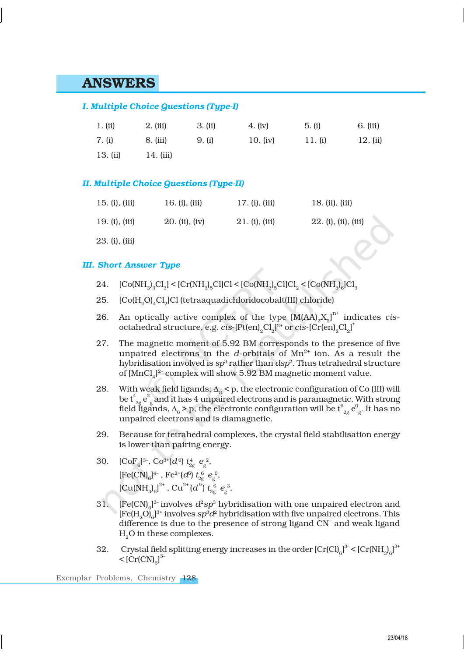## ANSWERS

#### *I. Multiple Choice Questions (Type-I)*

| 1. (ii)  | $2.$ (iii) | 3. (ii) | 4. (iv)    | 5. (i)  | 6. (iii) |
|----------|------------|---------|------------|---------|----------|
| 7. (i)   | 8. (iii)   | 9. (i)  | 10. $(iv)$ | 11. (i) | 12. (ii) |
| 13. (ii) | 14. (iii)  |         |            |         |          |

#### *II. Multiple Choice Questions (Type-II)*

| 15. (i), (iii)      | 16. (i), (iii) | 17. (i), (iii) | 18. (ii), (iii)      |
|---------------------|----------------|----------------|----------------------|
| $19. (i)$ , $(iii)$ | 20. (ii), (iv) | 21. (i), (iii) | 22. (i), (ii), (iii) |
| 23. (i), (iii)      |                |                |                      |

#### *III. Short Answer Type*

- 24.  $[\text{Co(NH}_3)_3\text{Cl}_3] < [\text{Cr(NH}_3)_5\text{Cl}]\text{Cl} < [\text{Co(NH}_3)_5\text{Cl}]\text{Cl}_2 < [\text{Co(NH}_3)_6\text{Cl}_3]$
- 25.  $\left[Co(H_2O)_4Cl_2\right]Cl$  (tetraaquadichloridocobalt(III) chloride)
- 26. An optically active complex of the type  $[M(AA)_2X_2]^{n^+}$  indicates *cis*octahedral structure, e.g.  $c$ is-[Pt(en)<sub>2</sub>Cl<sub>2</sub>]<sup>2+</sup> or  $c$ is-[Cr(en)<sub>2</sub>Cl<sub>2</sub>]<sup>+</sup>
- 27. The magnetic moment of 5.92 BM corresponds to the presence of five unpaired electrons in the *d*-orbitals of  $Mn^{2+}$  ion. As a result the hybridisation involved is  $sp^3$  rather than  $dsp^2.$  Thus tetrahedral structure of  $[MnCl<sub>4</sub>]<sup>2</sup>$  complex will show 5.92 BM magnetic moment value.
- 28. With weak field ligands;  $\Delta_0 < p$ , the electronic configuration of Co (III) will be  $\mathrm{t}^4_{\phantom{24}2 \mathrm{g}} \, \mathrm{e}^2$ g and it has 4 unpaired electrons and is paramagnetic. With strong field l̃igands,  $\Delta_{0}$  > p, the electronic configuration will be  $\mathsf{t}_{2 \mathrm{g}}^6\, \mathrm{e}^0$ g . It has no unpaired electrons and is diamagnetic.
- 29. Because for tetrahedral complexes, the crystal field stabilisation energy is lower than pairing energy.
- 30.  $[CoF_6]^3$ ,  $Co^{3+}(d^6) t_{2g}^4 e_g^2$ , [Fe(CN)<sub>6</sub>]<sup>4-</sup>, Fe<sup>2+</sup>(*d*<sup>6</sup>)  $t_{2g}^6$   $e_g^0$ ,  $\left[\mathrm{Cu(NH}_3\right]_6\right]^{2^+}$ ,  $\mathrm{Cu}^{2^+}(d^9)\ t_{2g}^6\ e_{g}^3$ ,
- 31.  $[Fe(CN)_{6}]^{3-}$  involves  $d^{2}sp^{3}$  hybridisation with one unpaired electron and  $[{\rm Fe}({\rm H}_{\rm 2}{\rm O}]_6]^{3+}$  involves  $sp^3d^2$  hybridisation with five unpaired electrons. This difference is due to the presence of strong ligand CN – and weak ligand H<sub>2</sub>O in these complexes.
- 32. Crystal field splitting energy increases in the order  $[Cr(Cl)]_6^{3-} < [Cr(NH)_6]^{3+}$  $<$  [Cr(CN)<sub>6</sub>]<sup>3–</sup>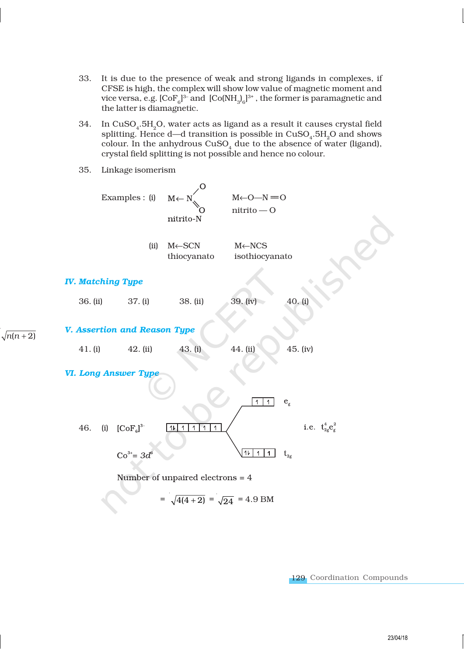- 33. It is due to the presence of weak and strong ligands in complexes, if CFSE is high, the complex will show low value of magnetic moment and vice versa, e.g.  $[\mathrm{CoF_{6}}]^{3-}$  and  $[\mathrm{Co(NH_{3})_{6}}]^{3+}$  , the former is paramagnetic and the latter is diamagnetic.
- 34.  $\,$  In CuSO $_{4}$ .5H $_{2}$ O, water acts as ligand as a result it causes crystal field splitting. Hence d—d transition is possible in  $\mathrm{CuSO}_4\text{.}5\mathrm{H}_2\mathrm{O}$  and shows colour. In the anhydrous  $\mathrm{CuSO}_{_4}$  due to the absence of water (ligand), crystal field splitting is not possible and hence no colour.
- 35. Linkage isomerism

 $\sqrt{n(n+2)}$ 

Examples : (i)  $M \leftarrow N'$   $M \leftarrow O - N = O$ nitrito — O nitrito-N (ii) M←SCN M←NCS thiocyanato isothiocyanato *IV. Matching Type* 36. (ii) 37. (i) 38. (ii) 39. (iv) 40. (i) *V. Assertion and Reason Type* 41. (i) 42. (ii) 43. (i) 44. (ii) 45. (iv) *VI. Long Answer Type*  $1$  1  $e_{\rho}$ i.e.  $t_{2g}^4 e_g^2$ 46. (i)  $[CoF_{6}]^{3}$ 11 1 1 1  $\overline{1}$ 11 1 1  $\rm t_{\rm 2g}$  $Co^{3+} = 3d$ Number of unpaired electrons  $=$  4  $=\sqrt{4(4+2)} = \sqrt{24} = 4.9$  BM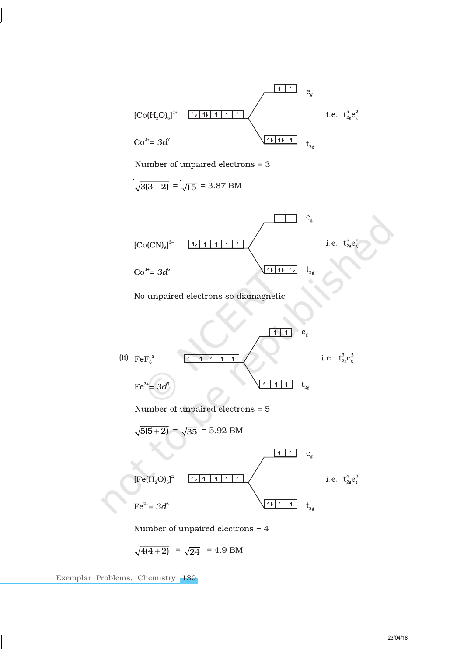

 $\sqrt{4(4+2)}$  =  $\sqrt{24}$  = 4.9 BM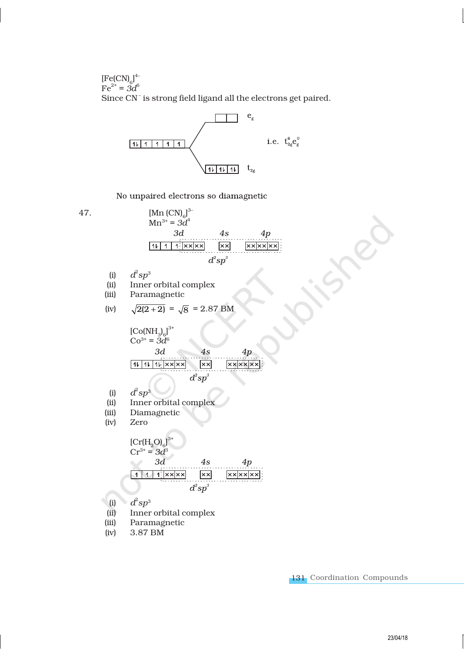$[Fe(CN)<sub>6</sub>]<sup>4–</sup>$  $Fe^{2+} = 3d^6$ Since CN<sup>-</sup> is strong field ligand all the electrons get paired.



No unpaired electrons so diamagnetic

47. [Mn  $(CN)_{6}$ ]<sup>3</sup>  $Mn^{3+} = 3d^4$  $3d$  $4s$  $4p$  $11$  1  $\frac{1}{x}$  x x  $\times$  $x \times x$  $d^2sp^3$ 

- (i) *d*  $^2$ s $p^3$
- (ii) Inner orbital complex<br>(iii) Paramagnetic
- Paramagnetic

(iv) 
$$
\sqrt{2(2+2)} = \sqrt{8} = 2.87
$$
 BM

$$
[Co(NH3)6]3+
$$
  
\n
$$
Co3+ = 3d6
$$
  
\n3d  
\n4s  
\n
$$
4p
$$
  
\n11|11|11|xx|xx|  
\n
$$
x \times |x \times |x|
$$
  
\n
$$
d2sn3
$$

- (i) *d*  $^2$ s $p^3$
- (ii) Inner orbital complex
- (iii) Diamagnetic
- (iv) Zero

$$
[Cr(H2O)6]3+
$$
  
\n
$$
Cr3+ = 3d3
$$
  
\n3d  
\n4s  
\n4p  
\n1111|x=x|xx|  
\n
$$
\overline{d2sp3}
$$

- (i)  $d^2sp^3$
- (ii) Inner orbital complex
- (iii) Paramagnetic
- (iv) 3.87 BM